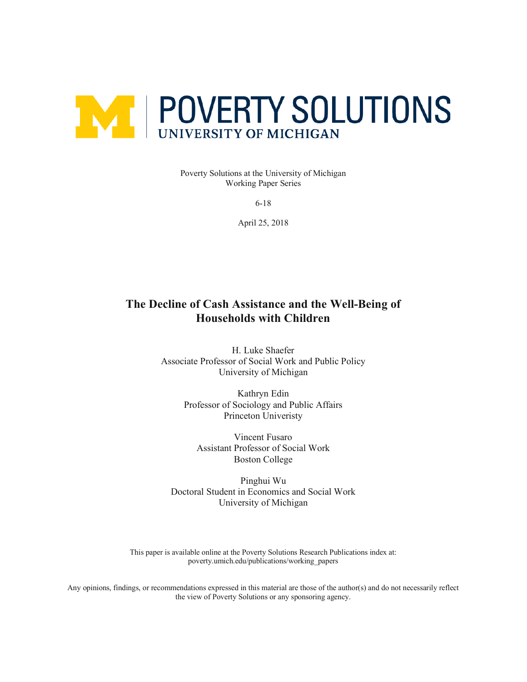# **MEL POVERTY SOLUTIONS**

Poverty Solutions at the University of Michigan Working Paper Series

6-18

April 25, 2018

# **The Decline of Cash Assistance and the Well-Being of Households with Children**

H. Luke Shaefer Associate Professor of Social Work and Public Policy University of Michigan

> Kathryn Edin Professor of Sociology and Public Affairs Princeton Univeristy

Vincent Fusaro Assistant Professor of Social Work Boston College

Pinghui Wu Doctoral Student in Economics and Social Work University of Michigan

This paper is available online at the Poverty Solutions Research Publications index at: poverty.umich.edu/publications/working\_papers

Any opinions, findings, or recommendations expressed in this material are those of the author(s) and do not necessarily reflect the view of Poverty Solutions or any sponsoring agency.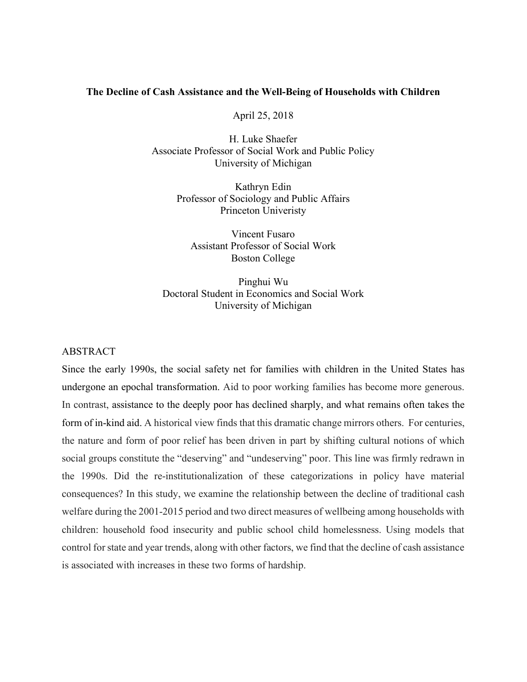#### **The Decline of Cash Assistance and the Well-Being of Households with Children**

April 25, 2018

H. Luke Shaefer Associate Professor of Social Work and Public Policy University of Michigan

> Kathryn Edin Professor of Sociology and Public Affairs Princeton Univeristy

Vincent Fusaro Assistant Professor of Social Work Boston College

Pinghui Wu Doctoral Student in Economics and Social Work University of Michigan

# ABSTRACT

Since the early 1990s, the social safety net for families with children in the United States has undergone an epochal transformation. Aid to poor working families has become more generous. In contrast, assistance to the deeply poor has declined sharply, and what remains often takes the form of in-kind aid. A historical view finds that this dramatic change mirrors others. For centuries, the nature and form of poor relief has been driven in part by shifting cultural notions of which social groups constitute the "deserving" and "undeserving" poor. This line was firmly redrawn in the 1990s. Did the re-institutionalization of these categorizations in policy have material consequences? In this study, we examine the relationship between the decline of traditional cash welfare during the 2001-2015 period and two direct measures of wellbeing among households with children: household food insecurity and public school child homelessness. Using models that control for state and year trends, along with other factors, we find that the decline of cash assistance is associated with increases in these two forms of hardship.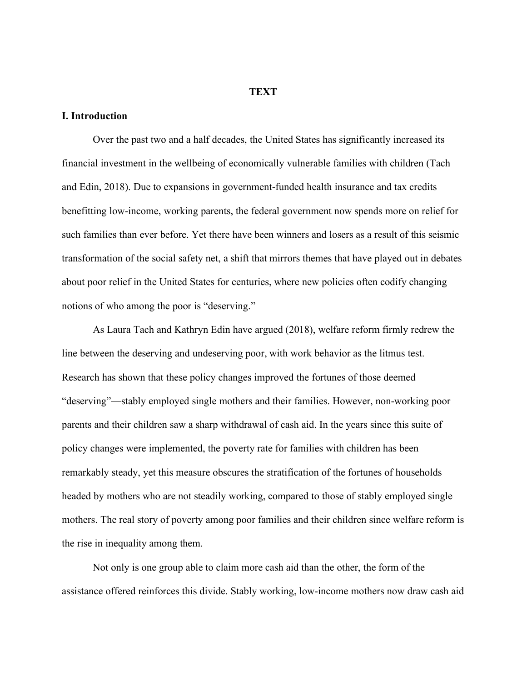#### **TEXT**

### **I. Introduction**

Over the past two and a half decades, the United States has significantly increased its financial investment in the wellbeing of economically vulnerable families with children (Tach and Edin, 2018). Due to expansions in government-funded health insurance and tax credits benefitting low-income, working parents, the federal government now spends more on relief for such families than ever before. Yet there have been winners and losers as a result of this seismic transformation of the social safety net, a shift that mirrors themes that have played out in debates about poor relief in the United States for centuries, where new policies often codify changing notions of who among the poor is "deserving."

As Laura Tach and Kathryn Edin have argued (2018), welfare reform firmly redrew the line between the deserving and undeserving poor, with work behavior as the litmus test. Research has shown that these policy changes improved the fortunes of those deemed "deserving"—stably employed single mothers and their families. However, non-working poor parents and their children saw a sharp withdrawal of cash aid. In the years since this suite of policy changes were implemented, the poverty rate for families with children has been remarkably steady, yet this measure obscures the stratification of the fortunes of households headed by mothers who are not steadily working, compared to those of stably employed single mothers. The real story of poverty among poor families and their children since welfare reform is the rise in inequality among them.

Not only is one group able to claim more cash aid than the other, the form of the assistance offered reinforces this divide. Stably working, low-income mothers now draw cash aid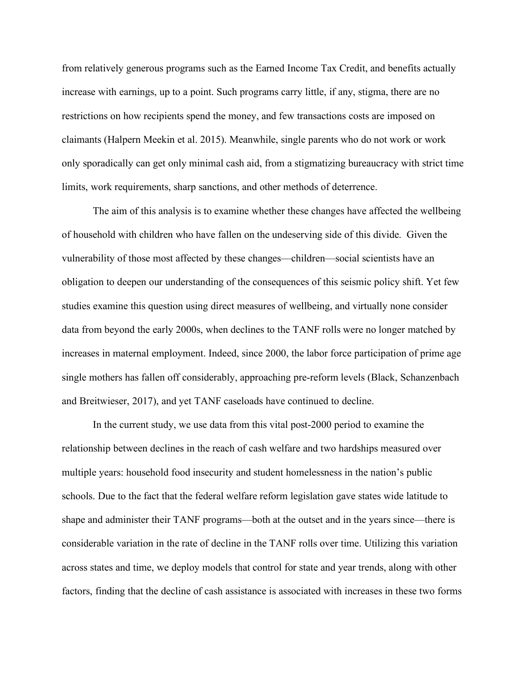from relatively generous programs such as the Earned Income Tax Credit, and benefits actually increase with earnings, up to a point. Such programs carry little, if any, stigma, there are no restrictions on how recipients spend the money, and few transactions costs are imposed on claimants (Halpern Meekin et al. 2015). Meanwhile, single parents who do not work or work only sporadically can get only minimal cash aid, from a stigmatizing bureaucracy with strict time limits, work requirements, sharp sanctions, and other methods of deterrence.

The aim of this analysis is to examine whether these changes have affected the wellbeing of household with children who have fallen on the undeserving side of this divide. Given the vulnerability of those most affected by these changes—children—social scientists have an obligation to deepen our understanding of the consequences of this seismic policy shift. Yet few studies examine this question using direct measures of wellbeing, and virtually none consider data from beyond the early 2000s, when declines to the TANF rolls were no longer matched by increases in maternal employment. Indeed, since 2000, the labor force participation of prime age single mothers has fallen off considerably, approaching pre-reform levels (Black, Schanzenbach and Breitwieser, 2017), and yet TANF caseloads have continued to decline.

In the current study, we use data from this vital post-2000 period to examine the relationship between declines in the reach of cash welfare and two hardships measured over multiple years: household food insecurity and student homelessness in the nation's public schools. Due to the fact that the federal welfare reform legislation gave states wide latitude to shape and administer their TANF programs—both at the outset and in the years since—there is considerable variation in the rate of decline in the TANF rolls over time. Utilizing this variation across states and time, we deploy models that control for state and year trends, along with other factors, finding that the decline of cash assistance is associated with increases in these two forms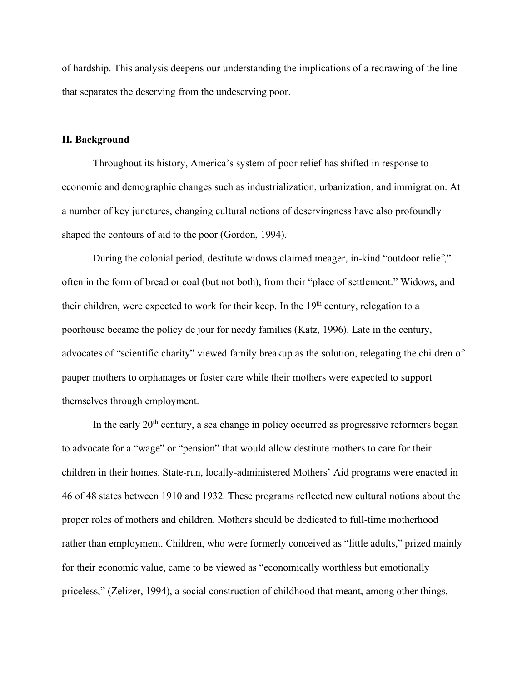of hardship. This analysis deepens our understanding the implications of a redrawing of the line that separates the deserving from the undeserving poor.

#### **II. Background**

Throughout its history, America's system of poor relief has shifted in response to economic and demographic changes such as industrialization, urbanization, and immigration. At a number of key junctures, changing cultural notions of deservingness have also profoundly shaped the contours of aid to the poor (Gordon, 1994).

During the colonial period, destitute widows claimed meager, in-kind "outdoor relief," often in the form of bread or coal (but not both), from their "place of settlement." Widows, and their children, were expected to work for their keep. In the 19<sup>th</sup> century, relegation to a poorhouse became the policy de jour for needy families (Katz, 1996). Late in the century, advocates of "scientific charity" viewed family breakup as the solution, relegating the children of pauper mothers to orphanages or foster care while their mothers were expected to support themselves through employment.

In the early  $20<sup>th</sup>$  century, a sea change in policy occurred as progressive reformers began to advocate for a "wage" or "pension" that would allow destitute mothers to care for their children in their homes. State-run, locally-administered Mothers' Aid programs were enacted in 46 of 48 states between 1910 and 1932. These programs reflected new cultural notions about the proper roles of mothers and children. Mothers should be dedicated to full-time motherhood rather than employment. Children, who were formerly conceived as "little adults," prized mainly for their economic value, came to be viewed as "economically worthless but emotionally priceless," (Zelizer, 1994), a social construction of childhood that meant, among other things,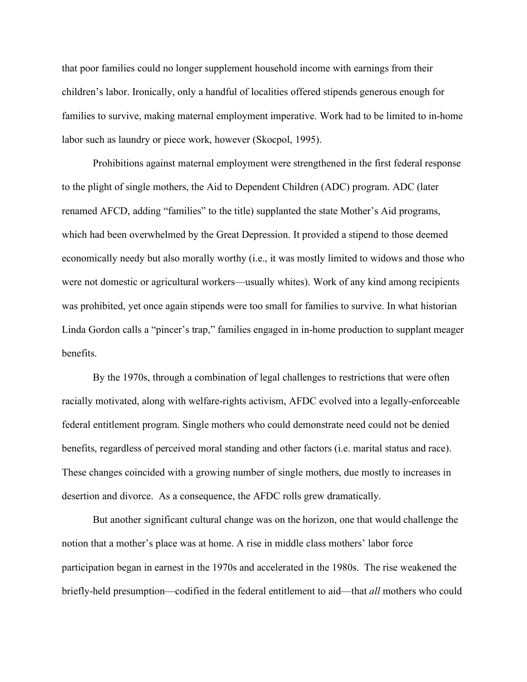that poor families could no longer supplement household income with earnings from their children's labor. Ironically, only a handful of localities offered stipends generous enough for families to survive, making maternal employment imperative. Work had to be limited to in-home labor such as laundry or piece work, however (Skocpol, 1995).

Prohibitions against maternal employment were strengthened in the first federal response to the plight of single mothers, the Aid to Dependent Children (ADC) program. ADC (later renamed AFCD, adding "families" to the title) supplanted the state Mother's Aid programs, which had been overwhelmed by the Great Depression. It provided a stipend to those deemed economically needy but also morally worthy (i.e., it was mostly limited to widows and those who were not domestic or agricultural workers—usually whites). Work of any kind among recipients was prohibited, yet once again stipends were too small for families to survive. In what historian Linda Gordon calls a "pincer's trap," families engaged in in-home production to supplant meager benefits.

By the 1970s, through a combination of legal challenges to restrictions that were often racially motivated, along with welfare-rights activism, AFDC evolved into a legally-enforceable federal entitlement program. Single mothers who could demonstrate need could not be denied benefits, regardless of perceived moral standing and other factors (i.e. marital status and race). These changes coincided with a growing number of single mothers, due mostly to increases in desertion and divorce. As a consequence, the AFDC rolls grew dramatically.

But another significant cultural change was on the horizon, one that would challenge the notion that a mother's place was at home. A rise in middle class mothers' labor force participation began in earnest in the 1970s and accelerated in the 1980s. The rise weakened the briefly-held presumption—codified in the federal entitlement to aid—that *all* mothers who could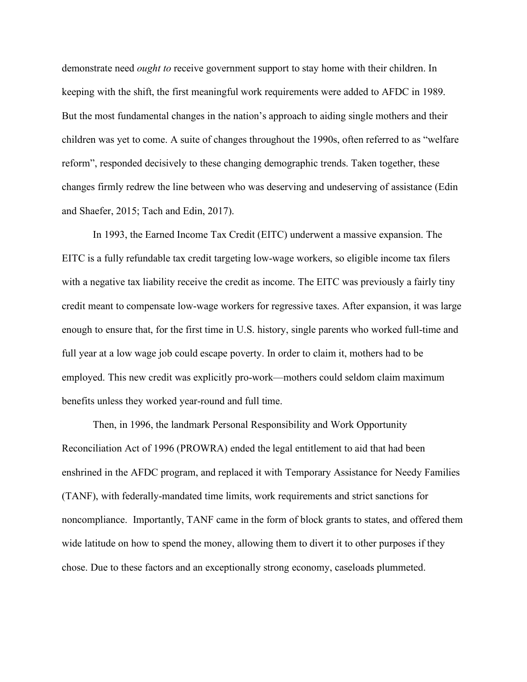demonstrate need *ought to* receive government support to stay home with their children. In keeping with the shift, the first meaningful work requirements were added to AFDC in 1989. But the most fundamental changes in the nation's approach to aiding single mothers and their children was yet to come. A suite of changes throughout the 1990s, often referred to as "welfare reform", responded decisively to these changing demographic trends. Taken together, these changes firmly redrew the line between who was deserving and undeserving of assistance (Edin and Shaefer, 2015; Tach and Edin, 2017).

In 1993, the Earned Income Tax Credit (EITC) underwent a massive expansion. The EITC is a fully refundable tax credit targeting low-wage workers, so eligible income tax filers with a negative tax liability receive the credit as income. The EITC was previously a fairly tiny credit meant to compensate low-wage workers for regressive taxes. After expansion, it was large enough to ensure that, for the first time in U.S. history, single parents who worked full-time and full year at a low wage job could escape poverty. In order to claim it, mothers had to be employed. This new credit was explicitly pro-work—mothers could seldom claim maximum benefits unless they worked year-round and full time.

Then, in 1996, the landmark Personal Responsibility and Work Opportunity Reconciliation Act of 1996 (PROWRA) ended the legal entitlement to aid that had been enshrined in the AFDC program, and replaced it with Temporary Assistance for Needy Families (TANF), with federally-mandated time limits, work requirements and strict sanctions for noncompliance. Importantly, TANF came in the form of block grants to states, and offered them wide latitude on how to spend the money, allowing them to divert it to other purposes if they chose. Due to these factors and an exceptionally strong economy, caseloads plummeted.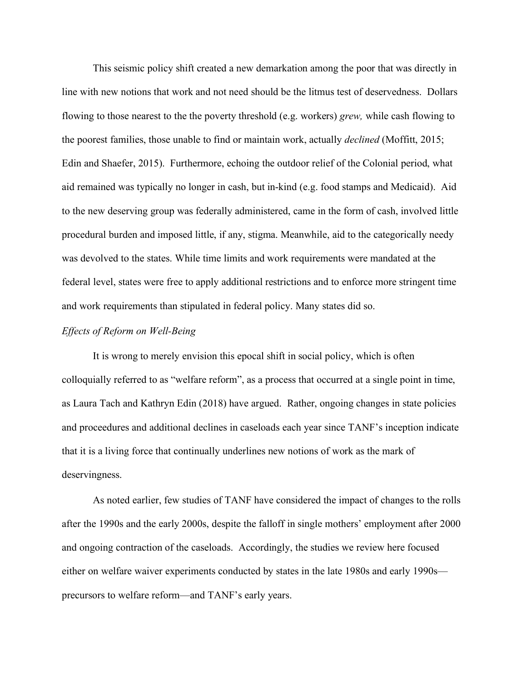This seismic policy shift created a new demarkation among the poor that was directly in line with new notions that work and not need should be the litmus test of deservedness. Dollars flowing to those nearest to the the poverty threshold (e.g. workers) *grew,* while cash flowing to the poorest families, those unable to find or maintain work, actually *declined* (Moffitt, 2015; Edin and Shaefer, 2015). Furthermore, echoing the outdoor relief of the Colonial period, what aid remained was typically no longer in cash, but in-kind (e.g. food stamps and Medicaid). Aid to the new deserving group was federally administered, came in the form of cash, involved little procedural burden and imposed little, if any, stigma. Meanwhile, aid to the categorically needy was devolved to the states. While time limits and work requirements were mandated at the federal level, states were free to apply additional restrictions and to enforce more stringent time and work requirements than stipulated in federal policy. Many states did so.

#### *Effects of Reform on Well-Being*

It is wrong to merely envision this epocal shift in social policy, which is often colloquially referred to as "welfare reform", as a process that occurred at a single point in time, as Laura Tach and Kathryn Edin (2018) have argued. Rather, ongoing changes in state policies and proceedures and additional declines in caseloads each year since TANF's inception indicate that it is a living force that continually underlines new notions of work as the mark of deservingness.

As noted earlier, few studies of TANF have considered the impact of changes to the rolls after the 1990s and the early 2000s, despite the falloff in single mothers' employment after 2000 and ongoing contraction of the caseloads. Accordingly, the studies we review here focused either on welfare waiver experiments conducted by states in the late 1980s and early 1990s precursors to welfare reform—and TANF's early years.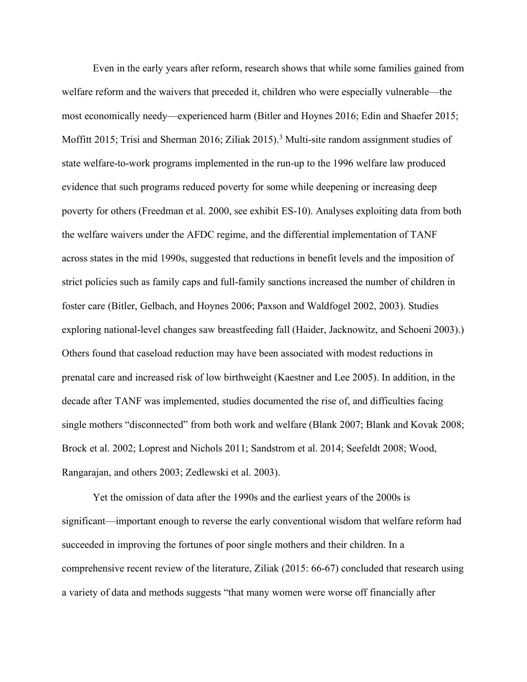Even in the early years after reform, research shows that while some families gained from welfare reform and the waivers that preceded it, children who were especially vulnerable—the most economically needy—experienced harm (Bitler and Hoynes 2016; Edin and Shaefer 2015; Moffitt 2015; Trisi and Sherman 2016; Ziliak 2015).<sup>3</sup> Multi-site random assignment studies of state welfare-to-work programs implemented in the run-up to the 1996 welfare law produced evidence that such programs reduced poverty for some while deepening or increasing deep poverty for others (Freedman et al. 2000, see exhibit ES-10). Analyses exploiting data from both the welfare waivers under the AFDC regime, and the differential implementation of TANF across states in the mid 1990s, suggested that reductions in benefit levels and the imposition of strict policies such as family caps and full-family sanctions increased the number of children in foster care (Bitler, Gelbach, and Hoynes 2006; Paxson and Waldfogel 2002, 2003). Studies exploring national-level changes saw breastfeeding fall (Haider, Jacknowitz, and Schoeni 2003).) Others found that caseload reduction may have been associated with modest reductions in prenatal care and increased risk of low birthweight (Kaestner and Lee 2005). In addition, in the decade after TANF was implemented, studies documented the rise of, and difficulties facing single mothers "disconnected" from both work and welfare (Blank 2007; Blank and Kovak 2008; Brock et al. 2002; Loprest and Nichols 2011; Sandstrom et al. 2014; Seefeldt 2008; Wood, Rangarajan, and others 2003; Zedlewski et al. 2003).

Yet the omission of data after the 1990s and the earliest years of the 2000s is significant—important enough to reverse the early conventional wisdom that welfare reform had succeeded in improving the fortunes of poor single mothers and their children. In a comprehensive recent review of the literature, Ziliak (2015: 66-67) concluded that research using a variety of data and methods suggests "that many women were worse off financially after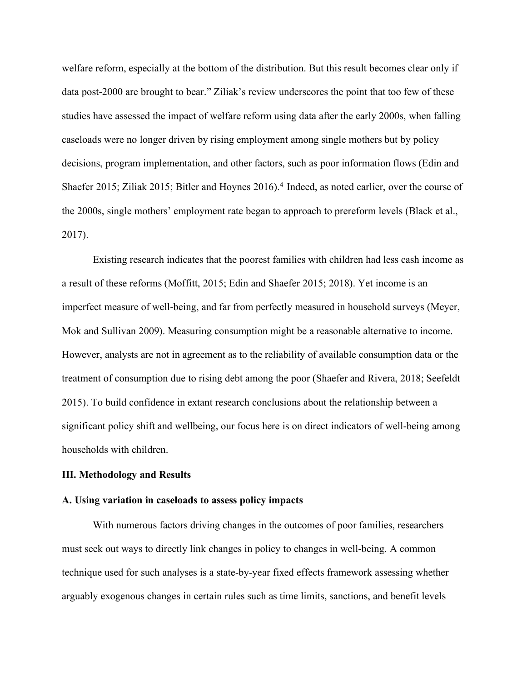welfare reform, especially at the bottom of the distribution. But this result becomes clear only if data post-2000 are brought to bear." Ziliak's review underscores the point that too few of these studies have assessed the impact of welfare reform using data after the early 2000s, when falling caseloads were no longer driven by rising employment among single mothers but by policy decisions, program implementation, and other factors, such as poor information flows (Edin and Shaefer 2015; Ziliak 2015; Bitler and Hoynes 2016).<sup>4</sup> Indeed, as noted earlier, over the course of the 2000s, single mothers' employment rate began to approach to prereform levels (Black et al., 2017).

Existing research indicates that the poorest families with children had less cash income as a result of these reforms (Moffitt, 2015; Edin and Shaefer 2015; 2018). Yet income is an imperfect measure of well-being, and far from perfectly measured in household surveys (Meyer, Mok and Sullivan 2009). Measuring consumption might be a reasonable alternative to income. However, analysts are not in agreement as to the reliability of available consumption data or the treatment of consumption due to rising debt among the poor (Shaefer and Rivera, 2018; Seefeldt 2015). To build confidence in extant research conclusions about the relationship between a significant policy shift and wellbeing, our focus here is on direct indicators of well-being among households with children.

#### **III. Methodology and Results**

#### **A. Using variation in caseloads to assess policy impacts**

With numerous factors driving changes in the outcomes of poor families, researchers must seek out ways to directly link changes in policy to changes in well-being. A common technique used for such analyses is a state-by-year fixed effects framework assessing whether arguably exogenous changes in certain rules such as time limits, sanctions, and benefit levels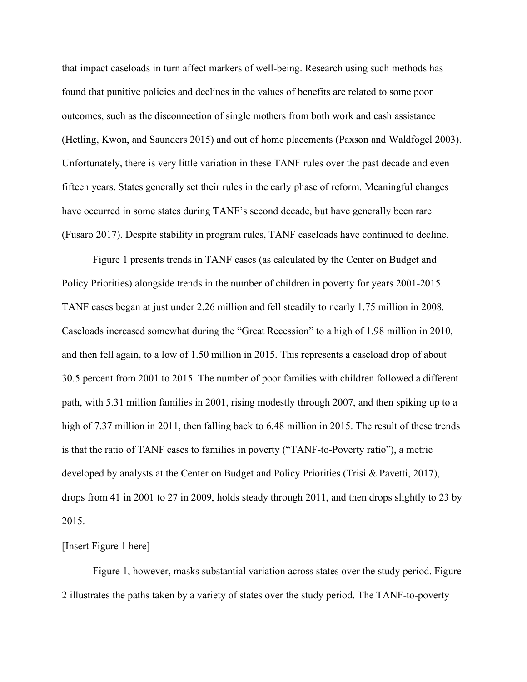that impact caseloads in turn affect markers of well-being. Research using such methods has found that punitive policies and declines in the values of benefits are related to some poor outcomes, such as the disconnection of single mothers from both work and cash assistance (Hetling, Kwon, and Saunders 2015) and out of home placements (Paxson and Waldfogel 2003). Unfortunately, there is very little variation in these TANF rules over the past decade and even fifteen years. States generally set their rules in the early phase of reform. Meaningful changes have occurred in some states during TANF's second decade, but have generally been rare (Fusaro 2017). Despite stability in program rules, TANF caseloads have continued to decline.

Figure 1 presents trends in TANF cases (as calculated by the Center on Budget and Policy Priorities) alongside trends in the number of children in poverty for years 2001-2015. TANF cases began at just under 2.26 million and fell steadily to nearly 1.75 million in 2008. Caseloads increased somewhat during the "Great Recession" to a high of 1.98 million in 2010, and then fell again, to a low of 1.50 million in 2015. This represents a caseload drop of about 30.5 percent from 2001 to 2015. The number of poor families with children followed a different path, with 5.31 million families in 2001, rising modestly through 2007, and then spiking up to a high of 7.37 million in 2011, then falling back to 6.48 million in 2015. The result of these trends is that the ratio of TANF cases to families in poverty ("TANF-to-Poverty ratio"), a metric developed by analysts at the Center on Budget and Policy Priorities (Trisi & Pavetti, 2017), drops from 41 in 2001 to 27 in 2009, holds steady through 2011, and then drops slightly to 23 by 2015.

[Insert Figure 1 here]

Figure 1, however, masks substantial variation across states over the study period. Figure 2 illustrates the paths taken by a variety of states over the study period. The TANF-to-poverty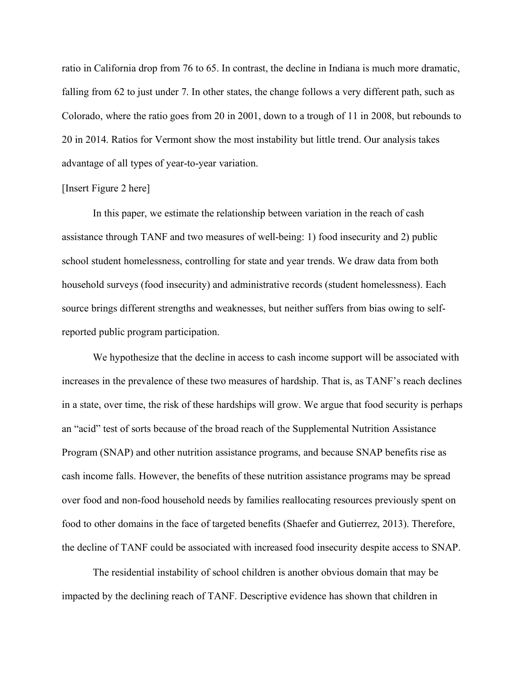ratio in California drop from 76 to 65. In contrast, the decline in Indiana is much more dramatic, falling from 62 to just under 7. In other states, the change follows a very different path, such as Colorado, where the ratio goes from 20 in 2001, down to a trough of 11 in 2008, but rebounds to 20 in 2014. Ratios for Vermont show the most instability but little trend. Our analysis takes advantage of all types of year-to-year variation.

#### [Insert Figure 2 here]

In this paper, we estimate the relationship between variation in the reach of cash assistance through TANF and two measures of well-being: 1) food insecurity and 2) public school student homelessness, controlling for state and year trends. We draw data from both household surveys (food insecurity) and administrative records (student homelessness). Each source brings different strengths and weaknesses, but neither suffers from bias owing to selfreported public program participation.

We hypothesize that the decline in access to cash income support will be associated with increases in the prevalence of these two measures of hardship. That is, as TANF's reach declines in a state, over time, the risk of these hardships will grow. We argue that food security is perhaps an "acid" test of sorts because of the broad reach of the Supplemental Nutrition Assistance Program (SNAP) and other nutrition assistance programs, and because SNAP benefits rise as cash income falls. However, the benefits of these nutrition assistance programs may be spread over food and non-food household needs by families reallocating resources previously spent on food to other domains in the face of targeted benefits (Shaefer and Gutierrez, 2013). Therefore, the decline of TANF could be associated with increased food insecurity despite access to SNAP.

The residential instability of school children is another obvious domain that may be impacted by the declining reach of TANF. Descriptive evidence has shown that children in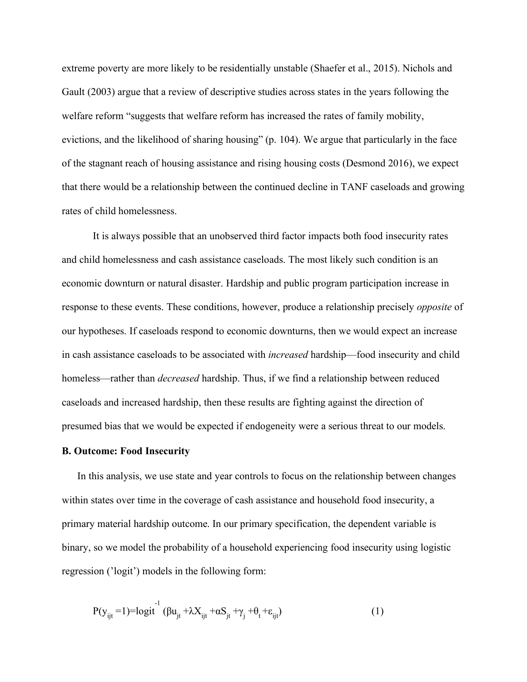extreme poverty are more likely to be residentially unstable (Shaefer et al., 2015). Nichols and Gault (2003) argue that a review of descriptive studies across states in the years following the welfare reform "suggests that welfare reform has increased the rates of family mobility, evictions, and the likelihood of sharing housing" (p. 104). We argue that particularly in the face of the stagnant reach of housing assistance and rising housing costs (Desmond 2016), we expect that there would be a relationship between the continued decline in TANF caseloads and growing rates of child homelessness.

It is always possible that an unobserved third factor impacts both food insecurity rates and child homelessness and cash assistance caseloads. The most likely such condition is an economic downturn or natural disaster. Hardship and public program participation increase in response to these events. These conditions, however, produce a relationship precisely *opposite* of our hypotheses. If caseloads respond to economic downturns, then we would expect an increase in cash assistance caseloads to be associated with *increased* hardship—food insecurity and child homeless—rather than *decreased* hardship. Thus, if we find a relationship between reduced caseloads and increased hardship, then these results are fighting against the direction of presumed bias that we would be expected if endogeneity were a serious threat to our models.

#### **B. Outcome: Food Insecurity**

In this analysis, we use state and year controls to focus on the relationship between changes within states over time in the coverage of cash assistance and household food insecurity, a primary material hardship outcome. In our primary specification, the dependent variable is binary, so we model the probability of a household experiencing food insecurity using logistic regression ('logit') models in the following form:

$$
P(y_{ijt} = 1) = logit^{-1} (\beta u_{jt} + \lambda X_{ijt} + \alpha S_{jt} + \gamma_j + \theta_t + \varepsilon_{ijt})
$$
\n(1)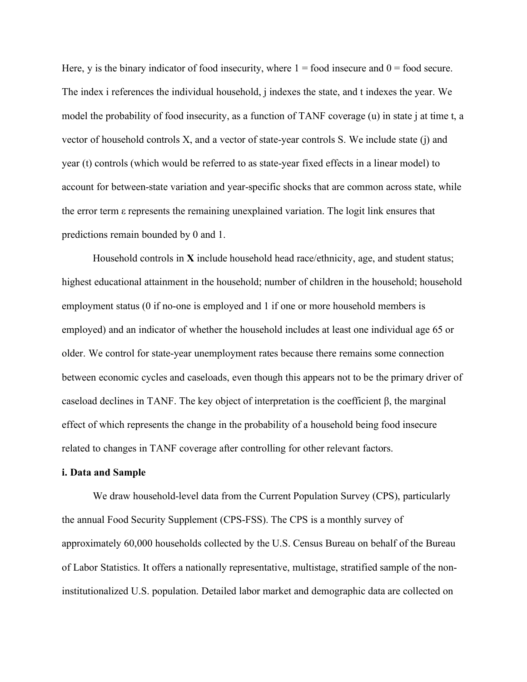Here, y is the binary indicator of food insecurity, where  $1 =$  food insecure and  $0 =$  food secure. The index i references the individual household, j indexes the state, and t indexes the year. We model the probability of food insecurity, as a function of TANF coverage (u) in state j at time t, a vector of household controls X, and a vector of state-year controls S. We include state (j) and year (t) controls (which would be referred to as state-year fixed effects in a linear model) to account for between-state variation and year-specific shocks that are common across state, while the error term ε represents the remaining unexplained variation. The logit link ensures that predictions remain bounded by 0 and 1.

Household controls in **X** include household head race/ethnicity, age, and student status; highest educational attainment in the household; number of children in the household; household employment status (0 if no-one is employed and 1 if one or more household members is employed) and an indicator of whether the household includes at least one individual age 65 or older. We control for state-year unemployment rates because there remains some connection between economic cycles and caseloads, even though this appears not to be the primary driver of caseload declines in TANF. The key object of interpretation is the coefficient β, the marginal effect of which represents the change in the probability of a household being food insecure related to changes in TANF coverage after controlling for other relevant factors.

#### **i. Data and Sample**

We draw household-level data from the Current Population Survey (CPS), particularly the annual Food Security Supplement (CPS-FSS). The CPS is a monthly survey of approximately 60,000 households collected by the U.S. Census Bureau on behalf of the Bureau of Labor Statistics. It offers a nationally representative, multistage, stratified sample of the noninstitutionalized U.S. population. Detailed labor market and demographic data are collected on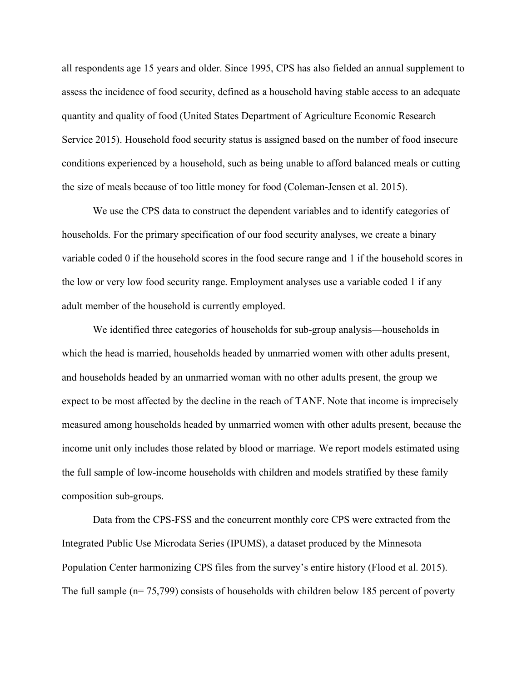all respondents age 15 years and older. Since 1995, CPS has also fielded an annual supplement to assess the incidence of food security, defined as a household having stable access to an adequate quantity and quality of food (United States Department of Agriculture Economic Research Service 2015). Household food security status is assigned based on the number of food insecure conditions experienced by a household, such as being unable to afford balanced meals or cutting the size of meals because of too little money for food (Coleman-Jensen et al. 2015).

We use the CPS data to construct the dependent variables and to identify categories of households. For the primary specification of our food security analyses, we create a binary variable coded 0 if the household scores in the food secure range and 1 if the household scores in the low or very low food security range. Employment analyses use a variable coded 1 if any adult member of the household is currently employed.

We identified three categories of households for sub-group analysis—households in which the head is married, households headed by unmarried women with other adults present, and households headed by an unmarried woman with no other adults present, the group we expect to be most affected by the decline in the reach of TANF. Note that income is imprecisely measured among households headed by unmarried women with other adults present, because the income unit only includes those related by blood or marriage. We report models estimated using the full sample of low-income households with children and models stratified by these family composition sub-groups.

Data from the CPS-FSS and the concurrent monthly core CPS were extracted from the Integrated Public Use Microdata Series (IPUMS), a dataset produced by the Minnesota Population Center harmonizing CPS files from the survey's entire history (Flood et al. 2015). The full sample (n= 75,799) consists of households with children below 185 percent of poverty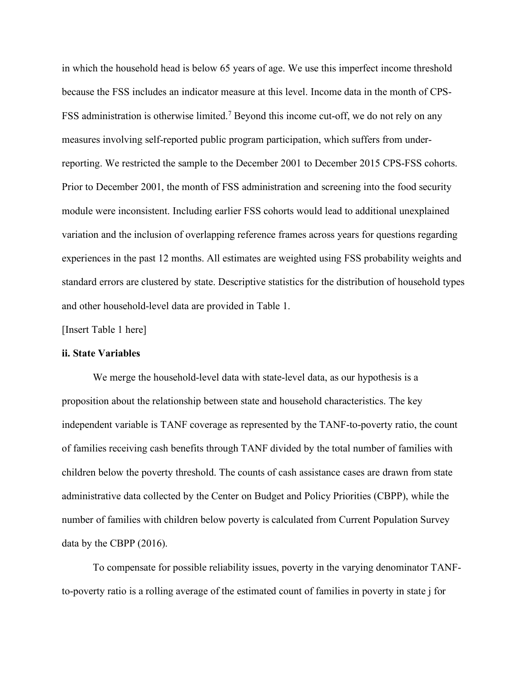in which the household head is below 65 years of age. We use this imperfect income threshold because the FSS includes an indicator measure at this level. Income data in the month of CPS-FSS administration is otherwise limited.<sup>7</sup> Beyond this income cut-off, we do not rely on any measures involving self-reported public program participation, which suffers from underreporting. We restricted the sample to the December 2001 to December 2015 CPS-FSS cohorts. Prior to December 2001, the month of FSS administration and screening into the food security module were inconsistent. Including earlier FSS cohorts would lead to additional unexplained variation and the inclusion of overlapping reference frames across years for questions regarding experiences in the past 12 months. All estimates are weighted using FSS probability weights and standard errors are clustered by state. Descriptive statistics for the distribution of household types and other household-level data are provided in Table 1.

[Insert Table 1 here]

#### **ii. State Variables**

We merge the household-level data with state-level data, as our hypothesis is a proposition about the relationship between state and household characteristics. The key independent variable is TANF coverage as represented by the TANF-to-poverty ratio, the count of families receiving cash benefits through TANF divided by the total number of families with children below the poverty threshold. The counts of cash assistance cases are drawn from state administrative data collected by the Center on Budget and Policy Priorities (CBPP), while the number of families with children below poverty is calculated from Current Population Survey data by the CBPP (2016).

To compensate for possible reliability issues, poverty in the varying denominator TANFto-poverty ratio is a rolling average of the estimated count of families in poverty in state j for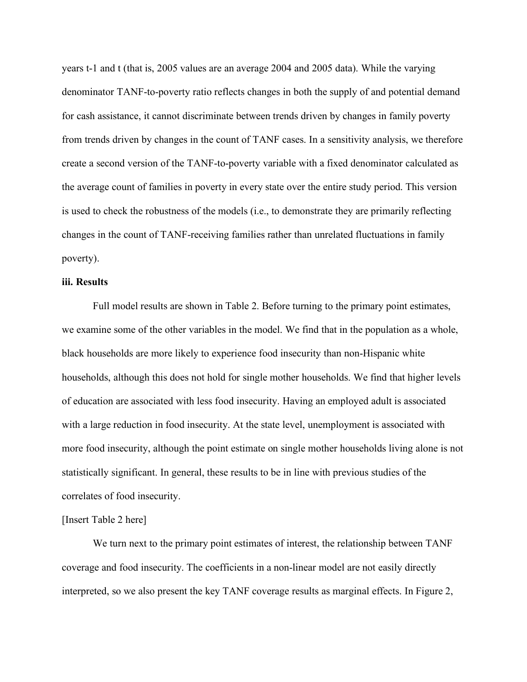years t-1 and t (that is, 2005 values are an average 2004 and 2005 data). While the varying denominator TANF-to-poverty ratio reflects changes in both the supply of and potential demand for cash assistance, it cannot discriminate between trends driven by changes in family poverty from trends driven by changes in the count of TANF cases. In a sensitivity analysis, we therefore create a second version of the TANF-to-poverty variable with a fixed denominator calculated as the average count of families in poverty in every state over the entire study period. This version is used to check the robustness of the models (i.e., to demonstrate they are primarily reflecting changes in the count of TANF-receiving families rather than unrelated fluctuations in family poverty).

#### **iii. Results**

Full model results are shown in Table 2. Before turning to the primary point estimates, we examine some of the other variables in the model. We find that in the population as a whole, black households are more likely to experience food insecurity than non-Hispanic white households, although this does not hold for single mother households. We find that higher levels of education are associated with less food insecurity. Having an employed adult is associated with a large reduction in food insecurity. At the state level, unemployment is associated with more food insecurity, although the point estimate on single mother households living alone is not statistically significant. In general, these results to be in line with previous studies of the correlates of food insecurity.

#### [Insert Table 2 here]

We turn next to the primary point estimates of interest, the relationship between TANF coverage and food insecurity. The coefficients in a non-linear model are not easily directly interpreted, so we also present the key TANF coverage results as marginal effects. In Figure 2,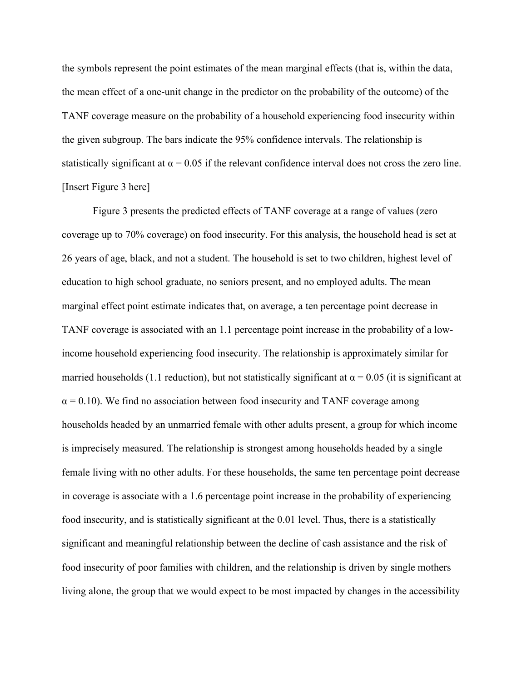the symbols represent the point estimates of the mean marginal effects (that is, within the data, the mean effect of a one-unit change in the predictor on the probability of the outcome) of the TANF coverage measure on the probability of a household experiencing food insecurity within the given subgroup. The bars indicate the 95% confidence intervals. The relationship is statistically significant at  $\alpha$  = 0.05 if the relevant confidence interval does not cross the zero line. [Insert Figure 3 here]

Figure 3 presents the predicted effects of TANF coverage at a range of values (zero coverage up to 70% coverage) on food insecurity. For this analysis, the household head is set at 26 years of age, black, and not a student. The household is set to two children, highest level of education to high school graduate, no seniors present, and no employed adults. The mean marginal effect point estimate indicates that, on average, a ten percentage point decrease in TANF coverage is associated with an 1.1 percentage point increase in the probability of a lowincome household experiencing food insecurity. The relationship is approximately similar for married households (1.1 reduction), but not statistically significant at  $\alpha$  = 0.05 (it is significant at  $\alpha$  = 0.10). We find no association between food insecurity and TANF coverage among households headed by an unmarried female with other adults present, a group for which income is imprecisely measured. The relationship is strongest among households headed by a single female living with no other adults. For these households, the same ten percentage point decrease in coverage is associate with a 1.6 percentage point increase in the probability of experiencing food insecurity, and is statistically significant at the 0.01 level. Thus, there is a statistically significant and meaningful relationship between the decline of cash assistance and the risk of food insecurity of poor families with children, and the relationship is driven by single mothers living alone, the group that we would expect to be most impacted by changes in the accessibility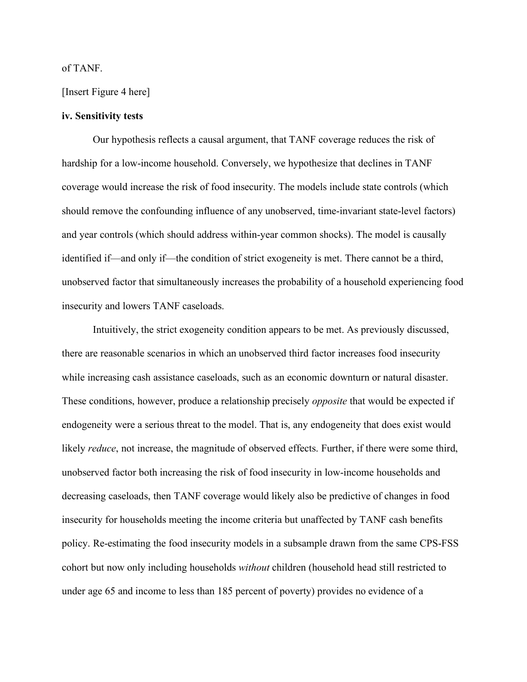of TANF.

#### [Insert Figure 4 here]

# **iv. Sensitivity tests**

Our hypothesis reflects a causal argument, that TANF coverage reduces the risk of hardship for a low-income household. Conversely, we hypothesize that declines in TANF coverage would increase the risk of food insecurity. The models include state controls (which should remove the confounding influence of any unobserved, time-invariant state-level factors) and year controls (which should address within-year common shocks). The model is causally identified if—and only if—the condition of strict exogeneity is met. There cannot be a third, unobserved factor that simultaneously increases the probability of a household experiencing food insecurity and lowers TANF caseloads.

Intuitively, the strict exogeneity condition appears to be met. As previously discussed, there are reasonable scenarios in which an unobserved third factor increases food insecurity while increasing cash assistance caseloads, such as an economic downturn or natural disaster. These conditions, however, produce a relationship precisely *opposite* that would be expected if endogeneity were a serious threat to the model. That is, any endogeneity that does exist would likely *reduce*, not increase, the magnitude of observed effects. Further, if there were some third, unobserved factor both increasing the risk of food insecurity in low-income households and decreasing caseloads, then TANF coverage would likely also be predictive of changes in food insecurity for households meeting the income criteria but unaffected by TANF cash benefits policy. Re-estimating the food insecurity models in a subsample drawn from the same CPS-FSS cohort but now only including households *without* children (household head still restricted to under age 65 and income to less than 185 percent of poverty) provides no evidence of a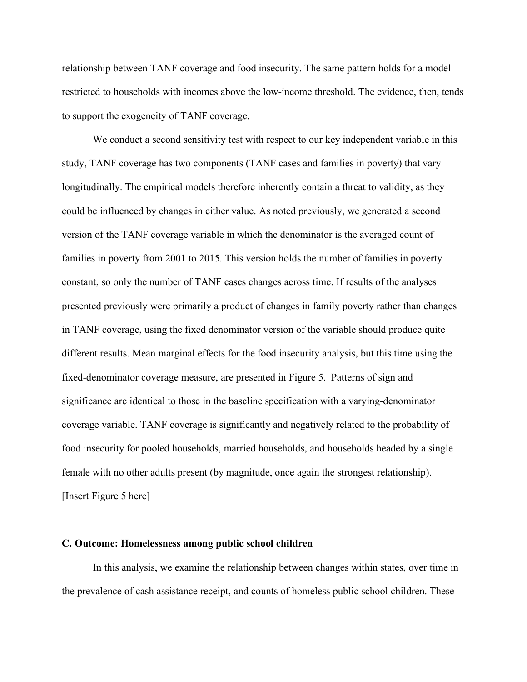relationship between TANF coverage and food insecurity. The same pattern holds for a model restricted to households with incomes above the low-income threshold. The evidence, then, tends to support the exogeneity of TANF coverage.

We conduct a second sensitivity test with respect to our key independent variable in this study, TANF coverage has two components (TANF cases and families in poverty) that vary longitudinally. The empirical models therefore inherently contain a threat to validity, as they could be influenced by changes in either value. As noted previously, we generated a second version of the TANF coverage variable in which the denominator is the averaged count of families in poverty from 2001 to 2015. This version holds the number of families in poverty constant, so only the number of TANF cases changes across time. If results of the analyses presented previously were primarily a product of changes in family poverty rather than changes in TANF coverage, using the fixed denominator version of the variable should produce quite different results. Mean marginal effects for the food insecurity analysis, but this time using the fixed-denominator coverage measure, are presented in Figure 5. Patterns of sign and significance are identical to those in the baseline specification with a varying-denominator coverage variable. TANF coverage is significantly and negatively related to the probability of food insecurity for pooled households, married households, and households headed by a single female with no other adults present (by magnitude, once again the strongest relationship). [Insert Figure 5 here]

#### **C. Outcome: Homelessness among public school children**

In this analysis, we examine the relationship between changes within states, over time in the prevalence of cash assistance receipt, and counts of homeless public school children. These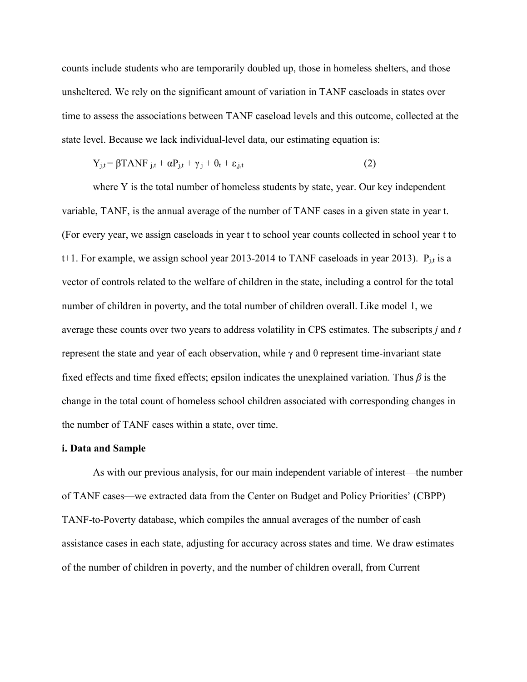counts include students who are temporarily doubled up, those in homeless shelters, and those unsheltered. We rely on the significant amount of variation in TANF caseloads in states over time to assess the associations between TANF caseload levels and this outcome, collected at the state level. Because we lack individual-level data, our estimating equation is:

$$
Y_{j,t} = \beta TANF_{j,t} + \alpha P_{j,t} + \gamma_j + \theta_t + \varepsilon_{j,t}
$$
 (2)

where Y is the total number of homeless students by state, year. Our key independent variable, TANF, is the annual average of the number of TANF cases in a given state in year t. (For every year, we assign caseloads in year t to school year counts collected in school year t to t+1. For example, we assign school year 2013-2014 to TANF caseloads in year 2013).  $P_{i,t}$  is a vector of controls related to the welfare of children in the state, including a control for the total number of children in poverty, and the total number of children overall. Like model 1, we average these counts over two years to address volatility in CPS estimates. The subscripts *j* and *t* represent the state and year of each observation, while γ and θ represent time-invariant state fixed effects and time fixed effects; epsilon indicates the unexplained variation. Thus *β* is the change in the total count of homeless school children associated with corresponding changes in the number of TANF cases within a state, over time.

#### **i. Data and Sample**

As with our previous analysis, for our main independent variable of interest—the number of TANF cases—we extracted data from the Center on Budget and Policy Priorities' (CBPP) TANF-to-Poverty database, which compiles the annual averages of the number of cash assistance cases in each state, adjusting for accuracy across states and time. We draw estimates of the number of children in poverty, and the number of children overall, from Current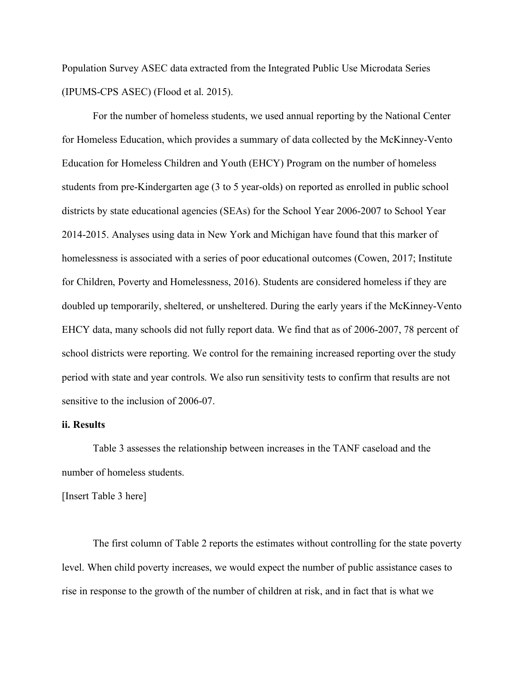Population Survey ASEC data extracted from the Integrated Public Use Microdata Series (IPUMS-CPS ASEC) (Flood et al. 2015).

For the number of homeless students, we used annual reporting by the National Center for Homeless Education, which provides a summary of data collected by the McKinney-Vento Education for Homeless Children and Youth (EHCY) Program on the number of homeless students from pre-Kindergarten age (3 to 5 year-olds) on reported as enrolled in public school districts by state educational agencies (SEAs) for the School Year 2006-2007 to School Year 2014-2015. Analyses using data in New York and Michigan have found that this marker of homelessness is associated with a series of poor educational outcomes (Cowen, 2017; Institute for Children, Poverty and Homelessness, 2016). Students are considered homeless if they are doubled up temporarily, sheltered, or unsheltered. During the early years if the McKinney-Vento EHCY data, many schools did not fully report data. We find that as of 2006-2007, 78 percent of school districts were reporting. We control for the remaining increased reporting over the study period with state and year controls. We also run sensitivity tests to confirm that results are not sensitive to the inclusion of 2006-07.

#### **ii. Results**

Table 3 assesses the relationship between increases in the TANF caseload and the number of homeless students.

[Insert Table 3 here]

The first column of Table 2 reports the estimates without controlling for the state poverty level. When child poverty increases, we would expect the number of public assistance cases to rise in response to the growth of the number of children at risk, and in fact that is what we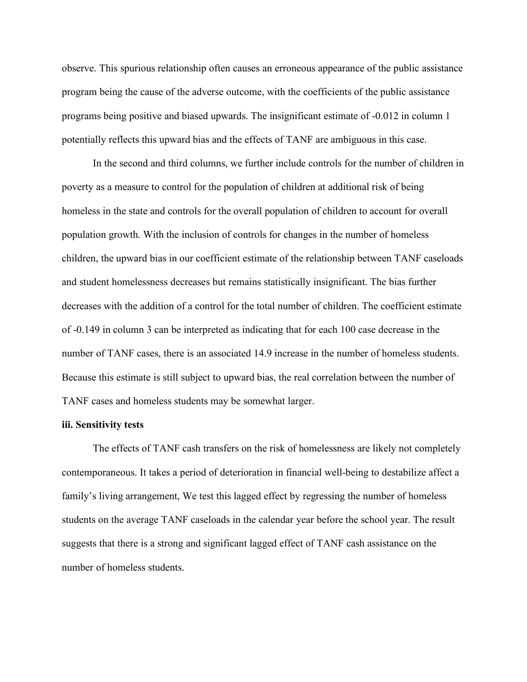observe. This spurious relationship often causes an erroneous appearance of the public assistance program being the cause of the adverse outcome, with the coefficients of the public assistance programs being positive and biased upwards. The insignificant estimate of -0.012 in column 1 potentially reflects this upward bias and the effects of TANF are ambiguous in this case.

In the second and third columns, we further include controls for the number of children in poverty as a measure to control for the population of children at additional risk of being homeless in the state and controls for the overall population of children to account for overall population growth. With the inclusion of controls for changes in the number of homeless children, the upward bias in our coefficient estimate of the relationship between TANF caseloads and student homelessness decreases but remains statistically insignificant. The bias further decreases with the addition of a control for the total number of children. The coefficient estimate of -0.149 in column 3 can be interpreted as indicating that for each 100 case decrease in the number of TANF cases, there is an associated 14.9 increase in the number of homeless students. Because this estimate is still subject to upward bias, the real correlation between the number of TANF cases and homeless students may be somewhat larger.

#### **iii. Sensitivity tests**

The effects of TANF cash transfers on the risk of homelessness are likely not completely contemporaneous. It takes a period of deterioration in financial well-being to destabilize affect a family's living arrangement, We test this lagged effect by regressing the number of homeless students on the average TANF caseloads in the calendar year before the school year. The result suggests that there is a strong and significant lagged effect of TANF cash assistance on the number of homeless students.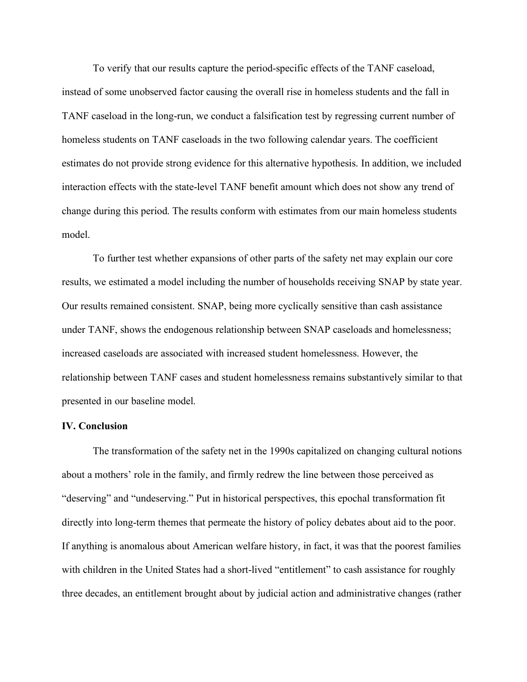To verify that our results capture the period-specific effects of the TANF caseload, instead of some unobserved factor causing the overall rise in homeless students and the fall in TANF caseload in the long-run, we conduct a falsification test by regressing current number of homeless students on TANF caseloads in the two following calendar years. The coefficient estimates do not provide strong evidence for this alternative hypothesis. In addition, we included interaction effects with the state-level TANF benefit amount which does not show any trend of change during this period. The results conform with estimates from our main homeless students model.

To further test whether expansions of other parts of the safety net may explain our core results, we estimated a model including the number of households receiving SNAP by state year. Our results remained consistent. SNAP, being more cyclically sensitive than cash assistance under TANF, shows the endogenous relationship between SNAP caseloads and homelessness; increased caseloads are associated with increased student homelessness. However, the relationship between TANF cases and student homelessness remains substantively similar to that presented in our baseline model.

# **IV. Conclusion**

The transformation of the safety net in the 1990s capitalized on changing cultural notions about a mothers' role in the family, and firmly redrew the line between those perceived as "deserving" and "undeserving." Put in historical perspectives, this epochal transformation fit directly into long-term themes that permeate the history of policy debates about aid to the poor. If anything is anomalous about American welfare history, in fact, it was that the poorest families with children in the United States had a short-lived "entitlement" to cash assistance for roughly three decades, an entitlement brought about by judicial action and administrative changes (rather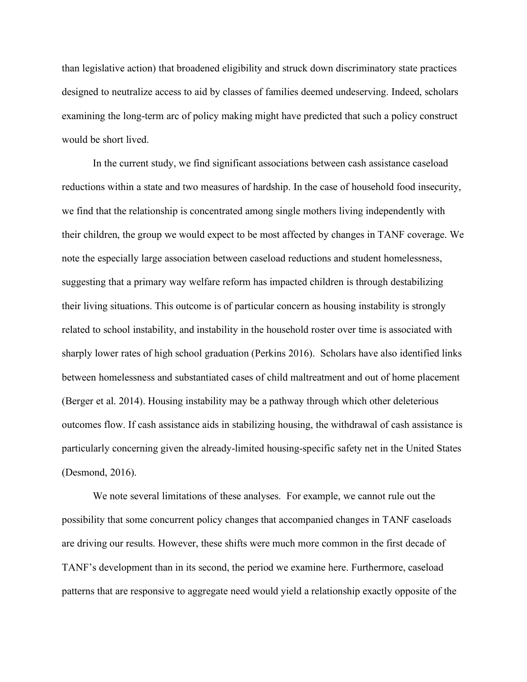than legislative action) that broadened eligibility and struck down discriminatory state practices designed to neutralize access to aid by classes of families deemed undeserving. Indeed, scholars examining the long-term arc of policy making might have predicted that such a policy construct would be short lived.

In the current study, we find significant associations between cash assistance caseload reductions within a state and two measures of hardship. In the case of household food insecurity, we find that the relationship is concentrated among single mothers living independently with their children, the group we would expect to be most affected by changes in TANF coverage. We note the especially large association between caseload reductions and student homelessness, suggesting that a primary way welfare reform has impacted children is through destabilizing their living situations. This outcome is of particular concern as housing instability is strongly related to school instability, and instability in the household roster over time is associated with sharply lower rates of high school graduation (Perkins 2016). Scholars have also identified links between homelessness and substantiated cases of child maltreatment and out of home placement (Berger et al. 2014). Housing instability may be a pathway through which other deleterious outcomes flow. If cash assistance aids in stabilizing housing, the withdrawal of cash assistance is particularly concerning given the already-limited housing-specific safety net in the United States (Desmond, 2016).

We note several limitations of these analyses. For example, we cannot rule out the possibility that some concurrent policy changes that accompanied changes in TANF caseloads are driving our results. However, these shifts were much more common in the first decade of TANF's development than in its second, the period we examine here. Furthermore, caseload patterns that are responsive to aggregate need would yield a relationship exactly opposite of the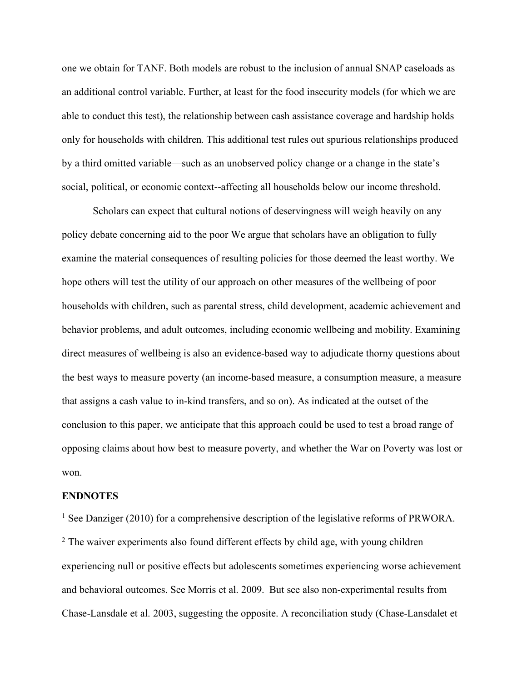one we obtain for TANF. Both models are robust to the inclusion of annual SNAP caseloads as an additional control variable. Further, at least for the food insecurity models (for which we are able to conduct this test), the relationship between cash assistance coverage and hardship holds only for households with children. This additional test rules out spurious relationships produced by a third omitted variable—such as an unobserved policy change or a change in the state's social, political, or economic context--affecting all households below our income threshold.

Scholars can expect that cultural notions of deservingness will weigh heavily on any policy debate concerning aid to the poor We argue that scholars have an obligation to fully examine the material consequences of resulting policies for those deemed the least worthy. We hope others will test the utility of our approach on other measures of the wellbeing of poor households with children, such as parental stress, child development, academic achievement and behavior problems, and adult outcomes, including economic wellbeing and mobility. Examining direct measures of wellbeing is also an evidence-based way to adjudicate thorny questions about the best ways to measure poverty (an income-based measure, a consumption measure, a measure that assigns a cash value to in-kind transfers, and so on). As indicated at the outset of the conclusion to this paper, we anticipate that this approach could be used to test a broad range of opposing claims about how best to measure poverty, and whether the War on Poverty was lost or won.

#### **ENDNOTES**

<sup>1</sup> See Danziger (2010) for a comprehensive description of the legislative reforms of PRWORA. <sup>2</sup> The waiver experiments also found different effects by child age, with young children experiencing null or positive effects but adolescents sometimes experiencing worse achievement and behavioral outcomes. See Morris et al. 2009. But see also non-experimental results from Chase-Lansdale et al. 2003, suggesting the opposite. A reconciliation study (Chase-Lansdalet et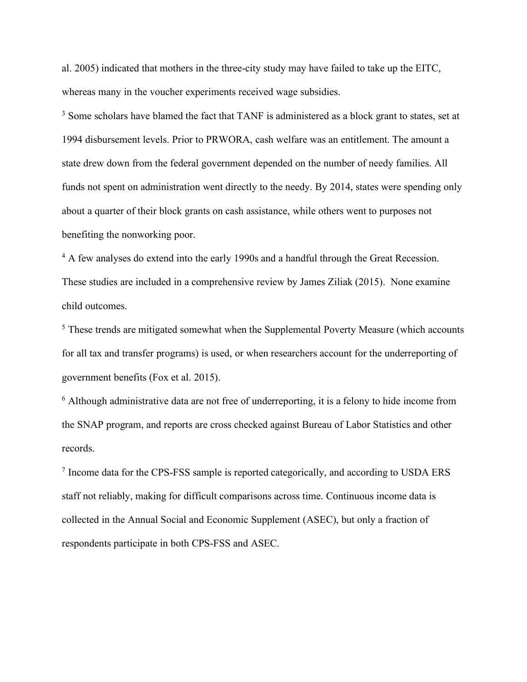al. 2005) indicated that mothers in the three-city study may have failed to take up the EITC, whereas many in the voucher experiments received wage subsidies.

<sup>3</sup> Some scholars have blamed the fact that TANF is administered as a block grant to states, set at 1994 disbursement levels. Prior to PRWORA, cash welfare was an entitlement. The amount a state drew down from the federal government depended on the number of needy families. All funds not spent on administration went directly to the needy. By 2014, states were spending only about a quarter of their block grants on cash assistance, while others went to purposes not benefiting the nonworking poor.

<sup>4</sup> A few analyses do extend into the early 1990s and a handful through the Great Recession. These studies are included in a comprehensive review by James Ziliak (2015). None examine child outcomes.

<sup>5</sup> These trends are mitigated somewhat when the Supplemental Poverty Measure (which accounts for all tax and transfer programs) is used, or when researchers account for the underreporting of government benefits (Fox et al. 2015).

<sup>6</sup> Although administrative data are not free of underreporting, it is a felony to hide income from the SNAP program, and reports are cross checked against Bureau of Labor Statistics and other records.

<sup>7</sup> Income data for the CPS-FSS sample is reported categorically, and according to USDA ERS staff not reliably, making for difficult comparisons across time. Continuous income data is collected in the Annual Social and Economic Supplement (ASEC), but only a fraction of respondents participate in both CPS-FSS and ASEC.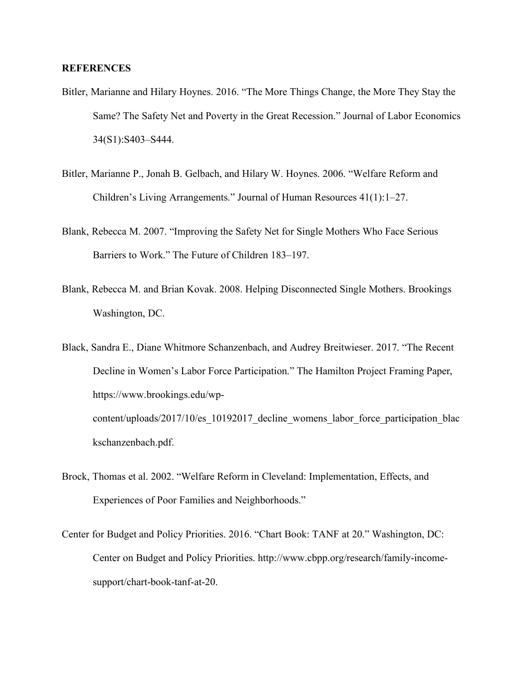#### **REFERENCES**

kschanzenbach.pdf.

- Bitler, Marianne and Hilary Hoynes. 2016. "The More Things Change, the More They Stay the Same? The Safety Net and Poverty in the Great Recession." Journal of Labor Economics 34(S1):S403–S444.
- Bitler, Marianne P., Jonah B. Gelbach, and Hilary W. Hoynes. 2006. "Welfare Reform and Children's Living Arrangements." Journal of Human Resources 41(1):1–27.
- Blank, Rebecca M. 2007. "Improving the Safety Net for Single Mothers Who Face Serious Barriers to Work." The Future of Children 183–197.
- Blank, Rebecca M. and Brian Kovak. 2008. Helping Disconnected Single Mothers. Brookings Washington, DC.

Black, Sandra E., Diane Whitmore Schanzenbach, and Audrey Breitwieser. 2017. "The Recent Decline in Women's Labor Force Participation." The Hamilton Project Framing Paper, https://www.brookings.edu/wpcontent/uploads/2017/10/es\_10192017\_decline\_womens\_labor\_force\_participation\_blac

- Brock, Thomas et al. 2002. "Welfare Reform in Cleveland: Implementation, Effects, and Experiences of Poor Families and Neighborhoods."
- Center for Budget and Policy Priorities. 2016. "Chart Book: TANF at 20." Washington, DC: Center on Budget and Policy Priorities. http://www.cbpp.org/research/family-incomesupport/chart-book-tanf-at-20.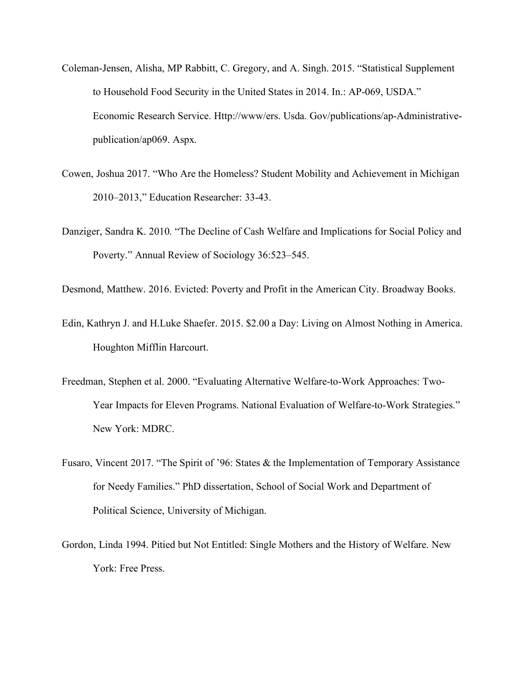- Coleman-Jensen, Alisha, MP Rabbitt, C. Gregory, and A. Singh. 2015. "Statistical Supplement to Household Food Security in the United States in 2014. In.: AP-069, USDA." Economic Research Service. Http://www/ers. Usda. Gov/publications/ap-Administrativepublication/ap069. Aspx.
- Cowen, Joshua 2017. "Who Are the Homeless? Student Mobility and Achievement in Michigan 2010–2013," Education Researcher: 33-43.
- Danziger, Sandra K. 2010. "The Decline of Cash Welfare and Implications for Social Policy and Poverty." Annual Review of Sociology 36:523–545.
- Desmond, Matthew. 2016. Evicted: Poverty and Profit in the American City. Broadway Books.
- Edin, Kathryn J. and H.Luke Shaefer. 2015. \$2.00 a Day: Living on Almost Nothing in America. Houghton Mifflin Harcourt.
- Freedman, Stephen et al. 2000. "Evaluating Alternative Welfare-to-Work Approaches: Two-Year Impacts for Eleven Programs. National Evaluation of Welfare-to-Work Strategies." New York: MDRC.
- Fusaro, Vincent 2017. "The Spirit of '96: States & the Implementation of Temporary Assistance for Needy Families." PhD dissertation, School of Social Work and Department of Political Science, University of Michigan.
- Gordon, Linda 1994. Pitied but Not Entitled: Single Mothers and the History of Welfare. New York: Free Press.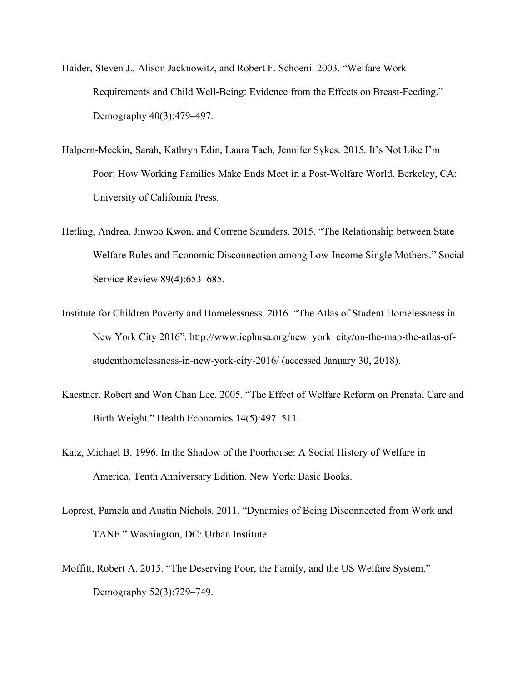- Haider, Steven J., Alison Jacknowitz, and Robert F. Schoeni. 2003. "Welfare Work Requirements and Child Well-Being: Evidence from the Effects on Breast-Feeding." Demography 40(3):479–497.
- Halpern-Meekin, Sarah, Kathryn Edin, Laura Tach, Jennifer Sykes. 2015. It's Not Like I'm Poor: How Working Families Make Ends Meet in a Post-Welfare World. Berkeley, CA: University of California Press.
- Hetling, Andrea, Jinwoo Kwon, and Correne Saunders. 2015. "The Relationship between State Welfare Rules and Economic Disconnection among Low-Income Single Mothers." Social Service Review 89(4):653–685.
- Institute for Children Poverty and Homelessness. 2016. "The Atlas of Student Homelessness in New York City 2016". http://www.icphusa.org/new\_york\_city/on-the-map-the-atlas-ofstudenthomelessness-in-new-york-city-2016/ (accessed January 30, 2018).
- Kaestner, Robert and Won Chan Lee. 2005. "The Effect of Welfare Reform on Prenatal Care and Birth Weight." Health Economics 14(5):497–511.
- Katz, Michael B. 1996. In the Shadow of the Poorhouse: A Social History of Welfare in America, Tenth Anniversary Edition. New York: Basic Books.
- Loprest, Pamela and Austin Nichols. 2011. "Dynamics of Being Disconnected from Work and TANF." Washington, DC: Urban Institute.
- Moffitt, Robert A. 2015. "The Deserving Poor, the Family, and the US Welfare System." Demography 52(3):729–749.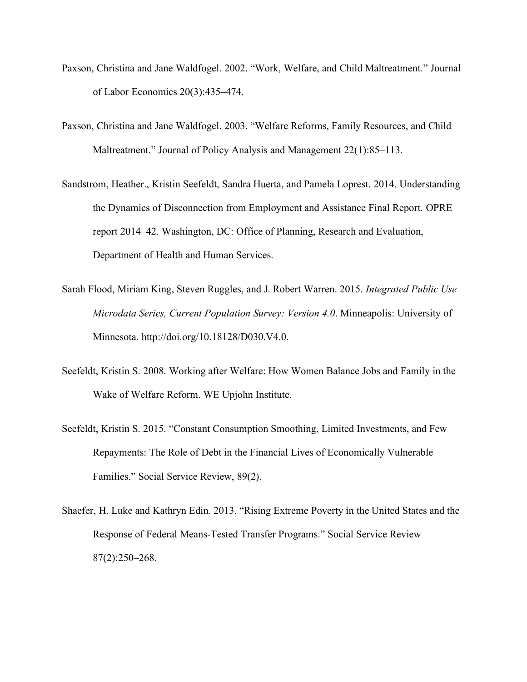- Paxson, Christina and Jane Waldfogel. 2002. "Work, Welfare, and Child Maltreatment." Journal of Labor Economics 20(3):435–474.
- Paxson, Christina and Jane Waldfogel. 2003. "Welfare Reforms, Family Resources, and Child Maltreatment." Journal of Policy Analysis and Management 22(1):85–113.
- Sandstrom, Heather., Kristin Seefeldt, Sandra Huerta, and Pamela Loprest. 2014. Understanding the Dynamics of Disconnection from Employment and Assistance Final Report. OPRE report 2014–42. Washington, DC: Office of Planning, Research and Evaluation, Department of Health and Human Services.
- Sarah Flood, Miriam King, Steven Ruggles, and J. Robert Warren. 2015. *Integrated Public Use Microdata Series, Current Population Survey: Version 4.0*. Minneapolis: University of Minnesota. http://doi.org/10.18128/D030.V4.0.
- Seefeldt, Kristin S. 2008. Working after Welfare: How Women Balance Jobs and Family in the Wake of Welfare Reform. WE Upjohn Institute.
- Seefeldt, Kristin S. 2015. "Constant Consumption Smoothing, Limited Investments, and Few Repayments: The Role of Debt in the Financial Lives of Economically Vulnerable Families." Social Service Review, 89(2).
- Shaefer, H. Luke and Kathryn Edin. 2013. "Rising Extreme Poverty in the United States and the Response of Federal Means-Tested Transfer Programs." Social Service Review 87(2):250–268.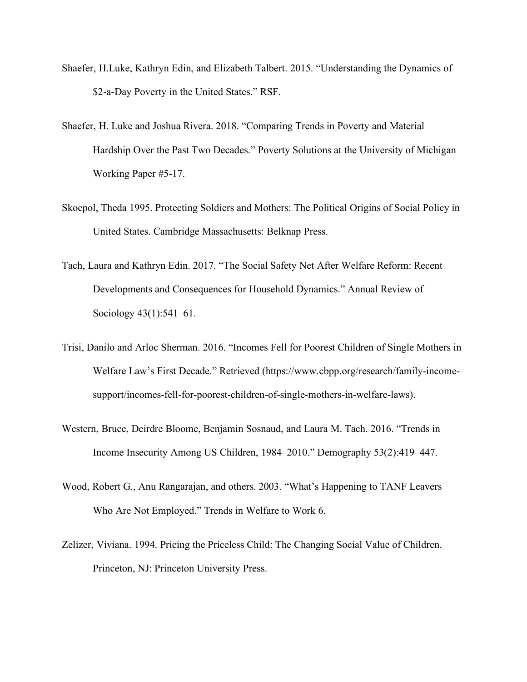- Shaefer, H.Luke, Kathryn Edin, and Elizabeth Talbert. 2015. "Understanding the Dynamics of \$2-a-Day Poverty in the United States." RSF.
- Shaefer, H. Luke and Joshua Rivera. 2018. "Comparing Trends in Poverty and Material Hardship Over the Past Two Decades." Poverty Solutions at the University of Michigan Working Paper #5-17.
- Skocpol, Theda 1995. Protecting Soldiers and Mothers: The Political Origins of Social Policy in United States. Cambridge Massachusetts: Belknap Press.
- Tach, Laura and Kathryn Edin. 2017. "The Social Safety Net After Welfare Reform: Recent Developments and Consequences for Household Dynamics." Annual Review of Sociology 43(1):541–61.
- Trisi, Danilo and Arloc Sherman. 2016. "Incomes Fell for Poorest Children of Single Mothers in Welfare Law's First Decade." Retrieved (https://www.cbpp.org/research/family-incomesupport/incomes-fell-for-poorest-children-of-single-mothers-in-welfare-laws).
- Western, Bruce, Deirdre Bloome, Benjamin Sosnaud, and Laura M. Tach. 2016. "Trends in Income Insecurity Among US Children, 1984–2010." Demography 53(2):419–447.
- Wood, Robert G., Anu Rangarajan, and others. 2003. "What's Happening to TANF Leavers Who Are Not Employed." Trends in Welfare to Work 6.
- Zelizer, Viviana. 1994. Pricing the Priceless Child: The Changing Social Value of Children. Princeton, NJ: Princeton University Press.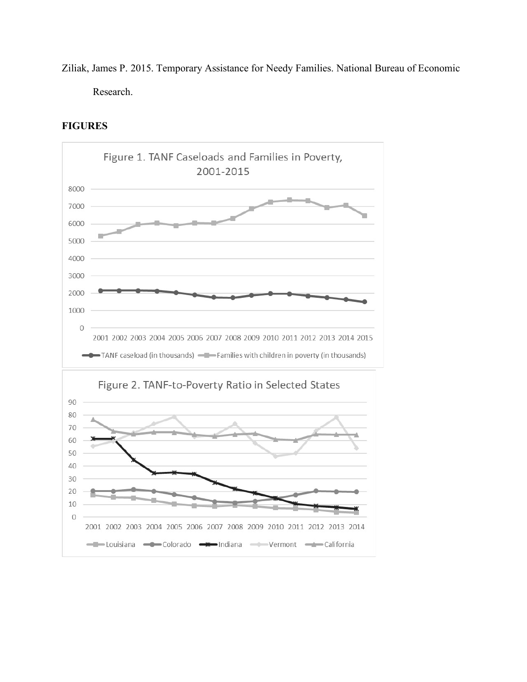Ziliak, James P. 2015. Temporary Assistance for Needy Families. National Bureau of Economic Research.



# **FIGURES**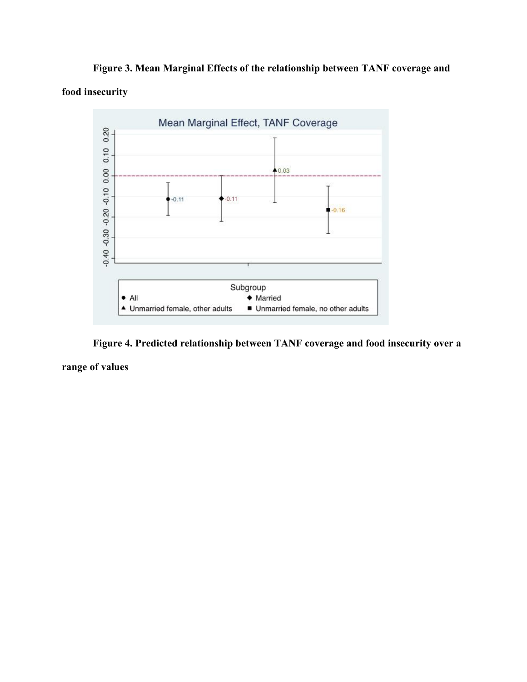**Figure 3. Mean Marginal Effects of the relationship between TANF coverage and food insecurity**



**Figure 4. Predicted relationship between TANF coverage and food insecurity over a range of values**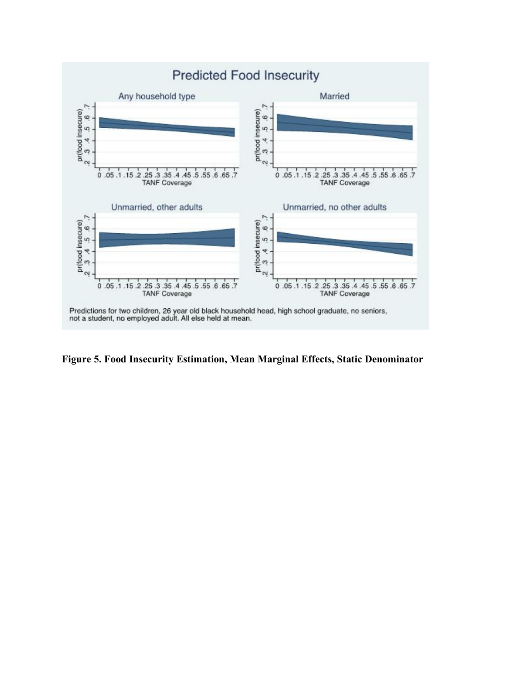

**Figure 5. Food Insecurity Estimation, Mean Marginal Effects, Static Denominator**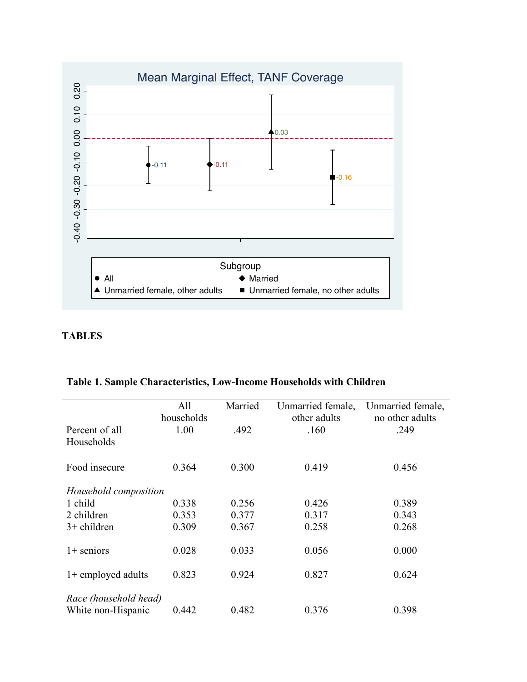

# **TABLES**

|                                             | All        | Married | Unmarried female, | Unmarried female, |
|---------------------------------------------|------------|---------|-------------------|-------------------|
|                                             | households |         | other adults      | no other adults   |
| Percent of all                              | 1.00       | .492    | .160              | .249              |
| Households                                  |            |         |                   |                   |
| Food insecure                               | 0.364      | 0.300   | 0.419             | 0.456             |
| Household composition                       |            |         |                   |                   |
| 1 child                                     | 0.338      | 0.256   | 0.426             | 0.389             |
| 2 children                                  | 0.353      | 0.377   | 0.317             | 0.343             |
| $3+$ children                               | 0.309      | 0.367   | 0.258             | 0.268             |
| $1+$ seniors                                | 0.028      | 0.033   | 0.056             | 0.000             |
| $1+$ employed adults                        | 0.823      | 0.924   | 0.827             | 0.624             |
| Race (household head)<br>White non-Hispanic | 0.442      | 0.482   | 0.376             | 0.398             |

|  | Table 1. Sample Characteristics, Low-Income Households with Children |  |  |  |
|--|----------------------------------------------------------------------|--|--|--|
|--|----------------------------------------------------------------------|--|--|--|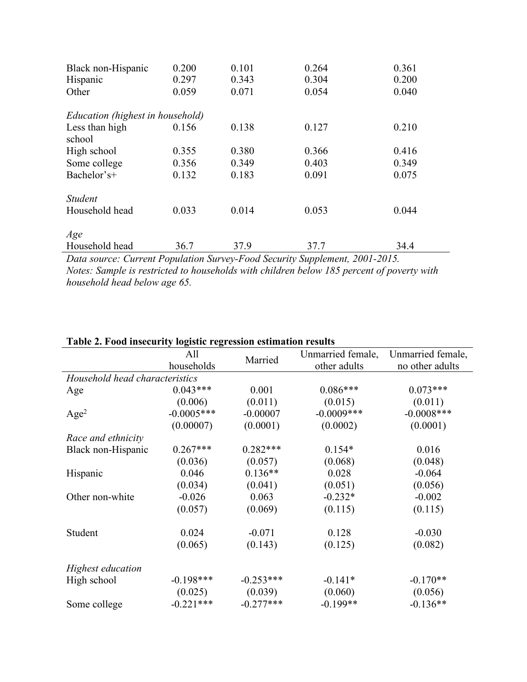| Black non-Hispanic               | 0.200 | 0.101 | 0.264 | 0.361 |
|----------------------------------|-------|-------|-------|-------|
| Hispanic                         | 0.297 | 0.343 | 0.304 | 0.200 |
| Other                            | 0.059 | 0.071 | 0.054 | 0.040 |
| Education (highest in household) |       |       |       |       |
| Less than high                   | 0.156 | 0.138 | 0.127 | 0.210 |
| school                           |       |       |       |       |
| High school                      | 0.355 | 0.380 | 0.366 | 0.416 |
| Some college                     | 0.356 | 0.349 | 0.403 | 0.349 |
| Bachelor's+                      | 0.132 | 0.183 | 0.091 | 0.075 |
| <b>Student</b>                   |       |       |       |       |
| Household head                   | 0.033 | 0.014 | 0.053 | 0.044 |
| Age                              |       |       |       |       |
| Household head                   | 36.7  | 37.9  | 37.7  | 34.4  |

*Data source: Current Population Survey-Food Security Supplement, 2001-2015. Notes: Sample is restricted to households with children below 185 percent of poverty with household head below age 65.*

|                                | All          | Married     | Unmarried female, | Unmarried female, |
|--------------------------------|--------------|-------------|-------------------|-------------------|
|                                | households   |             | other adults      | no other adults   |
| Household head characteristics |              |             |                   |                   |
| Age                            | $0.043***$   | 0.001       | $0.086***$        | $0.073***$        |
|                                | (0.006)      | (0.011)     | (0.015)           | (0.011)           |
| Age <sup>2</sup>               | $-0.0005***$ | $-0.00007$  | $-0.0009$ ***     | $-0.0008$ ***     |
|                                | (0.00007)    | (0.0001)    | (0.0002)          | (0.0001)          |
| Race and ethnicity             |              |             |                   |                   |
| Black non-Hispanic             | $0.267***$   | $0.282***$  | $0.154*$          | 0.016             |
|                                | (0.036)      | (0.057)     | (0.068)           | (0.048)           |
| Hispanic                       | 0.046        | $0.136**$   | 0.028             | $-0.064$          |
|                                | (0.034)      | (0.041)     | (0.051)           | (0.056)           |
| Other non-white                | $-0.026$     | 0.063       | $-0.232*$         | $-0.002$          |
|                                | (0.057)      | (0.069)     | (0.115)           | (0.115)           |
| Student                        | 0.024        | $-0.071$    | 0.128             | $-0.030$          |
|                                | (0.065)      | (0.143)     | (0.125)           | (0.082)           |
| Highest education              |              |             |                   |                   |
| High school                    | $-0.198***$  | $-0.253***$ | $-0.141*$         | $-0.170**$        |
|                                | (0.025)      | (0.039)     | (0.060)           | (0.056)           |
| Some college                   | $-0.221***$  | $-0.277***$ | $-0.199**$        | $-0.136**$        |

# **Table 2. Food insecurity logistic regression estimation results**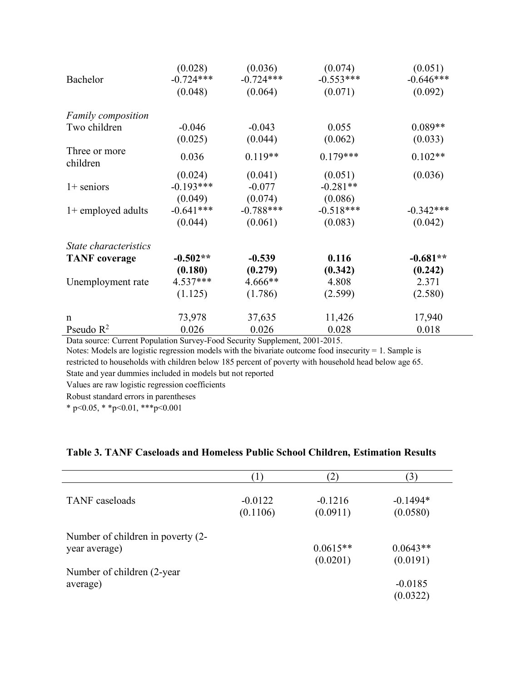|                           | (0.028)     | (0.036)     | (0.074)     | (0.051)     |
|---------------------------|-------------|-------------|-------------|-------------|
| Bachelor                  | $-0.724***$ | $-0.724***$ | $-0.553***$ | $-0.646***$ |
|                           | (0.048)     | (0.064)     | (0.071)     | (0.092)     |
| <b>Family composition</b> |             |             |             |             |
| Two children              | $-0.046$    | $-0.043$    | 0.055       | $0.089**$   |
|                           | (0.025)     | (0.044)     | (0.062)     | (0.033)     |
| Three or more<br>children | 0.036       | $0.119**$   | $0.179***$  | $0.102**$   |
|                           | (0.024)     | (0.041)     | (0.051)     | (0.036)     |
| $1+$ seniors              | $-0.193***$ | $-0.077$    | $-0.281**$  |             |
|                           | (0.049)     | (0.074)     | (0.086)     |             |
| $1+$ employed adults      | $-0.641***$ | $-0.788***$ | $-0.518***$ | $-0.342***$ |
|                           | (0.044)     | (0.061)     | (0.083)     | (0.042)     |
| State characteristics     |             |             |             |             |
| <b>TANF</b> coverage      | $-0.502**$  | $-0.539$    | 0.116       | $-0.681**$  |
|                           | (0.180)     | (0.279)     | (0.342)     | (0.242)     |
| Unemployment rate         | $4.537***$  | $4.666**$   | 4.808       | 2.371       |
|                           | (1.125)     | (1.786)     | (2.599)     | (2.580)     |
| n                         | 73,978      | 37,635      | 11,426      | 17,940      |
| Pseudo $R^2$              | 0.026       | 0.026       | 0.028       | 0.018       |

Data source: Current Population Survey-Food Security Supplement, 2001-2015.

Notes: Models are logistic regression models with the bivariate outcome food insecurity = 1. Sample is restricted to households with children below 185 percent of poverty with household head below age 65.

State and year dummies included in models but not reported

Values are raw logistic regression coefficients

Robust standard errors in parentheses

\* p<0.05, \* \* p < 0.01, \* \* \* p < 0.001

|  | <b>Table 3. TANF Caseloads and Homeless Public School Children, Estimation Results</b> |  |  |  |  |  |
|--|----------------------------------------------------------------------------------------|--|--|--|--|--|
|--|----------------------------------------------------------------------------------------|--|--|--|--|--|

|                                   |           | $\mathbf{2})$ | 3)         |
|-----------------------------------|-----------|---------------|------------|
| <b>TANF</b> caseloads             | $-0.0122$ | $-0.1216$     | $-0.1494*$ |
|                                   | (0.1106)  | (0.0911)      | (0.0580)   |
| Number of children in poverty (2- |           |               |            |
| year average)                     |           | $0.0615**$    | $0.0643**$ |
|                                   |           | (0.0201)      | (0.0191)   |
| Number of children (2-year)       |           |               |            |
| average)                          |           |               | $-0.0185$  |
|                                   |           |               | (0.0322)   |